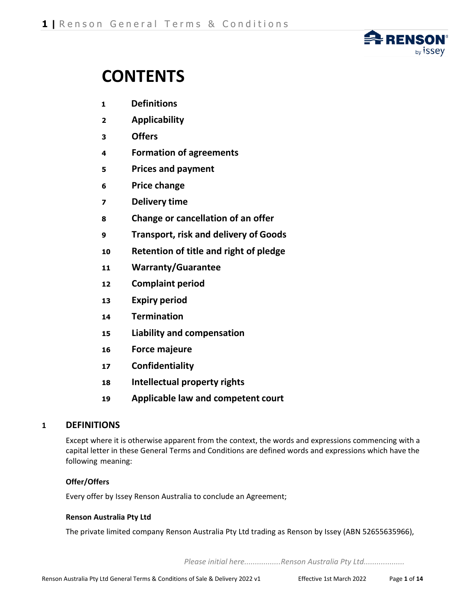

# **CONTENTS**

- **Definitions**
- **Applicability**
- **Offers**
- **Formation of agreements**
- **Prices and payment**
- **Price change**
- **Delivery time**
- **Change or cancellation of an offer**
- **Transport, risk and delivery of Goods**
- **Retention of title and right of pledge**
- **Warranty/Guarantee**
- **Complaint period**
- **Expiry period**
- **Termination**
- **Liability and compensation**
- **Force majeure**
- **Confidentiality**
- **Intellectual property rights**
- **Applicable law and competent court**

# **DEFINITIONS**

Except where it is otherwise apparent from the context, the words and expressions commencing with a capital letter in these General Terms and Conditions are defined words and expressions which have the following meaning:

## **Offer/Offers**

Every offer by Issey Renson Australia to conclude an Agreement;

#### **Renson Australia Pty Ltd**

The private limited company Renson Australia Pty Ltd trading as Renson by Issey (ABN 52655635966),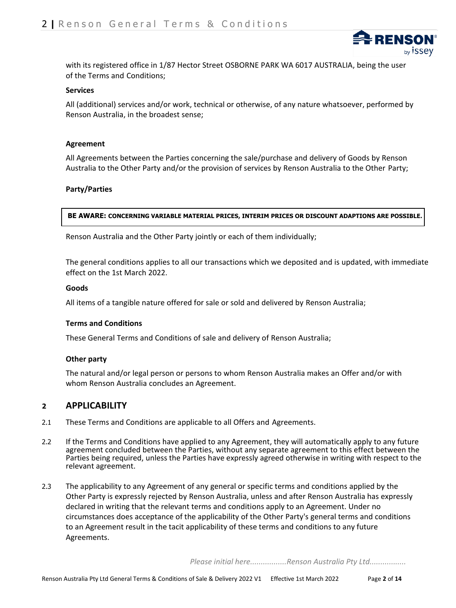

with its registered office in 1/87 Hector Street OSBORNE PARK WA 6017 AUSTRALIA, being the user of the Terms and Conditions;

#### **Services**

All (additional) services and/or work, technical or otherwise, of any nature whatsoever, performed by Renson Australia, in the broadest sense;

#### **Agreement**

All Agreements between the Parties concerning the sale/purchase and delivery of Goods by Renson Australia to the Other Party and/or the provision of services by Renson Australia to the Other Party;

#### **Party/Parties**

**BE AWARE: CONCERNING VARIABLE MATERIAL PRICES, INTERIM PRICES OR DISCOUNT ADAPTIONS ARE POSSIBLE.**

Renson Australia and the Other Party jointly or each of them individually;

The general conditions applies to all our transactions which we deposited and is updated, with immediate effect on the 1st March 2022.

#### **Goods**

All items of a tangible nature offered for sale or sold and delivered by Renson Australia;

#### **Terms and Conditions**

These General Terms and Conditions of sale and delivery of Renson Australia;

#### **Other party**

The natural and/or legal person or persons to whom Renson Australia makes an Offer and/or with whom Renson Australia concludes an Agreement.

#### **<sup>2</sup> APPLICABILITY**

- 2.1 These Terms and Conditions are applicable to all Offers and Agreements.
- 2.2 If the Terms and Conditions have applied to any Agreement, they will automatically apply to any future agreement concluded between the Parties, without any separate agreement to this effect between the Parties being required, unless the Parties have expressly agreed otherwise in writing with respect to the relevant agreement.
- 2.3 The applicability to any Agreement of any general or specific terms and conditions applied by the Other Party is expressly rejected by Renson Australia, unless and after Renson Australia has expressly declared in writing that the relevant terms and conditions apply to an Agreement. Under no circumstances does acceptance of the applicability of the Other Party's general terms and conditions to an Agreement result in the tacit applicability of these terms and conditions to any future Agreements.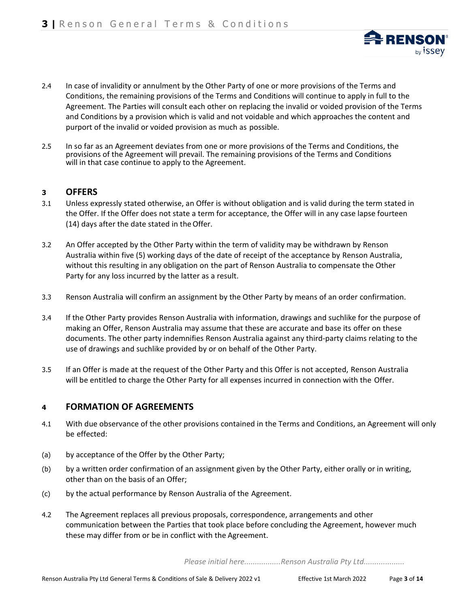- 2.4 In case of invalidity or annulment by the Other Party of one or more provisions of the Terms and Conditions, the remaining provisions of the Terms and Conditions will continue to apply in full to the Agreement. The Parties will consult each other on replacing the invalid or voided provision of the Terms and Conditions by a provision which is valid and not voidable and which approaches the content and purport of the invalid or voided provision as much as possible.
- 2.5 In so far as an Agreement deviates from one or more provisions of the Terms and Conditions, the provisions of the Agreement will prevail. The remaining provisions of the Terms and Conditions will in that case continue to apply to the Agreement.

#### **<sup>3</sup> OFFERS**

- 3.1 Unless expressly stated otherwise, an Offer is without obligation and is valid during the term stated in the Offer. If the Offer does not state a term for acceptance, the Offer will in any case lapse fourteen (14) days after the date stated in theOffer.
- 3.2 An Offer accepted by the Other Party within the term of validity may be withdrawn by Renson Australia within five (5) working days of the date of receipt of the acceptance by Renson Australia, without this resulting in any obligation on the part of Renson Australia to compensate the Other Party for any loss incurred by the latter as a result.
- 3.3 Renson Australia will confirm an assignment by the Other Party by means of an order confirmation.
- 3.4 If the Other Party provides Renson Australia with information, drawings and suchlike for the purpose of making an Offer, Renson Australia may assume that these are accurate and base its offer on these documents. The other party indemnifies Renson Australia against any third-party claims relating to the use of drawings and suchlike provided by or on behalf of the Other Party.
- 3.5 If an Offer is made at the request of the Other Party and this Offer is not accepted, Renson Australia will be entitled to charge the Other Party for all expenses incurred in connection with the Offer.

## **<sup>4</sup> FORMATION OF AGREEMENTS**

- 4.1 With due observance of the other provisions contained in the Terms and Conditions, an Agreement will only be effected:
- (a) by acceptance of the Offer by the Other Party;
- (b) by a written order confirmation of an assignment given by the Other Party, either orally or in writing, other than on the basis of an Offer;
- (c) by the actual performance by Renson Australia of the Agreement.
- 4.2 The Agreement replaces all previous proposals, correspondence, arrangements and other communication between the Parties that took place before concluding the Agreement, however much these may differ from or be in conflict with the Agreement.

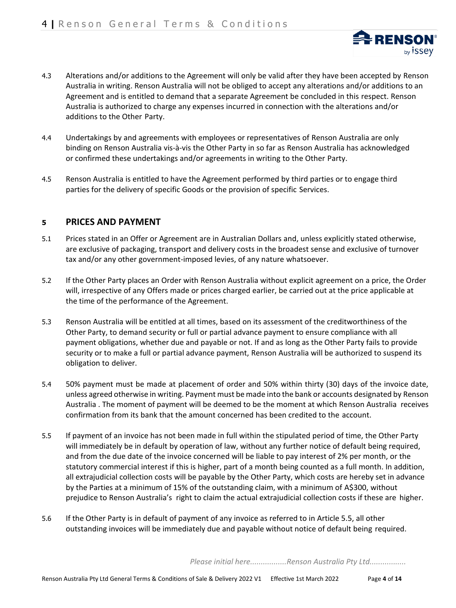

- 4.3 Alterations and/or additions to the Agreement will only be valid after they have been accepted by Renson Australia in writing. Renson Australia will not be obliged to accept any alterations and/or additions to an Agreement and is entitled to demand that a separate Agreement be concluded in this respect. Renson Australia is authorized to charge any expenses incurred in connection with the alterations and/or additions to the Other Party.
- 4.4 Undertakings by and agreements with employees or representatives of Renson Australia are only binding on Renson Australia vis-à-vis the Other Party in so far as Renson Australia has acknowledged or confirmed these undertakings and/or agreements in writing to the Other Party.
- 4.5 Renson Australia is entitled to have the Agreement performed by third parties or to engage third parties for the delivery of specific Goods or the provision of specific Services.

## **<sup>5</sup> PRICES AND PAYMENT**

- 5.1 Prices stated in an Offer or Agreement are in Australian Dollars and, unless explicitly stated otherwise, are exclusive of packaging, transport and delivery costs in the broadest sense and exclusive of turnover tax and/or any other government-imposed levies, of any nature whatsoever.
- 5.2 If the Other Party places an Order with Renson Australia without explicit agreement on a price, the Order will, irrespective of any Offers made or prices charged earlier, be carried out at the price applicable at the time of the performance of the Agreement.
- 5.3 Renson Australia will be entitled at all times, based on its assessment of the creditworthiness of the Other Party, to demand security or full or partial advance payment to ensure compliance with all payment obligations, whether due and payable or not. If and as long as the Other Party fails to provide security or to make a full or partial advance payment, Renson Australia will be authorized to suspend its obligation to deliver.
- 5.4 50% payment must be made at placement of order and 50% within thirty (30) days of the invoice date, unless agreed otherwise in writing. Payment must be made into the bank or accounts designated by Renson Australia . The moment of payment will be deemed to be the moment at which Renson Australia receives confirmation from its bank that the amount concerned has been credited to the account.
- 5.5 If payment of an invoice has not been made in full within the stipulated period of time, the Other Party will immediately be in default by operation of law, without any further notice of default being required, and from the due date of the invoice concerned will be liable to pay interest of 2% per month, or the statutory commercial interest if this is higher, part of a month being counted as a full month. In addition, all extrajudicial collection costs will be payable by the Other Party, which costs are hereby set in advance by the Parties at a minimum of 15% of the outstanding claim, with a minimum of A\$300, without prejudice to Renson Australia's right to claim the actual extrajudicial collection costs if these are higher.
- 5.6 If the Other Party is in default of payment of any invoice as referred to in Article 5.5, all other outstanding invoices will be immediately due and payable without notice of default being required.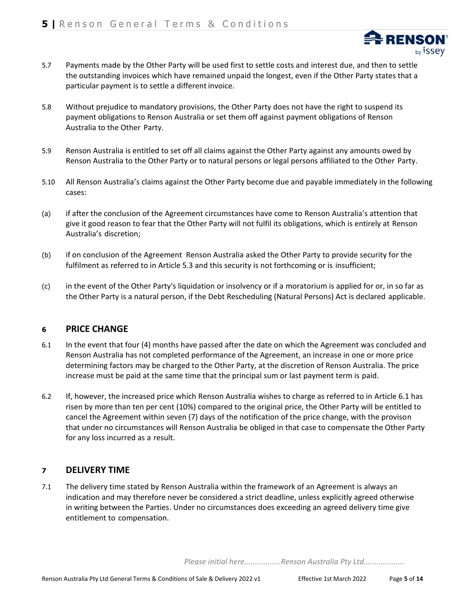- 5.7 Payments made by the Other Party will be used first to settle costs and interest due, and then to settle the outstanding invoices which have remained unpaid the longest, even if the Other Party states that a particular payment is to settle a different invoice.
- 5.8 Without prejudice to mandatory provisions, the Other Party does not have the right to suspend its payment obligations to Renson Australia or set them off against payment obligations of Renson Australia to the Other Party.
- 5.9 Renson Australia is entitled to set off all claims against the Other Party against any amounts owed by Renson Australia to the Other Party or to natural persons or legal persons affiliated to the Other Party.
- 5.10 All Renson Australia's claims against the Other Party become due and payable immediately in the following cases:
- (a) if after the conclusion of the Agreement circumstances have come to Renson Australia's attention that give it good reason to fear that the Other Party will not fulfil its obligations, which is entirely at Renson Australia's discretion;
- (b) if on conclusion of the Agreement Renson Australia asked the Other Party to provide security for the fulfilment as referred to in Article 5.3 and this security is not forthcoming or is insufficient;
- (c) in the event of the Other Party's liquidation or insolvency or if a moratorium is applied for or, in so far as the Other Party is a natural person, if the Debt Rescheduling (Natural Persons) Act is declared applicable.

## **<sup>6</sup> PRICE CHANGE**

- 6.1 In the event that four (4) months have passed after the date on which the Agreement was concluded and Renson Australia has not completed performance of the Agreement, an increase in one or more price determining factors may be charged to the Other Party, at the discretion of Renson Australia. The price increase must be paid at the same time that the principal sum or last payment term is paid.
- 6.2 If, however, the increased price which Renson Australia wishes to charge as referred to in Article 6.1 has risen by more than ten per cent (10%) compared to the original price, the Other Party will be entitled to cancel the Agreement within seven (7) days of the notification of the price change, with the provison that under no circumstances will Renson Australia be obliged in that case to compensate the Other Party for any loss incurred as a result.

## **<sup>7</sup> DELIVERY TIME**

7.1 The delivery time stated by Renson Australia within the framework of an Agreement is always an indication and may therefore never be considered a strict deadline, unless explicitly agreed otherwise in writing between the Parties. Under no circumstances does exceeding an agreed delivery time give entitlement to compensation.

*Please initial here.................Renson Australia Pty Ltd...................*

**RENSO** 

by *i*ssey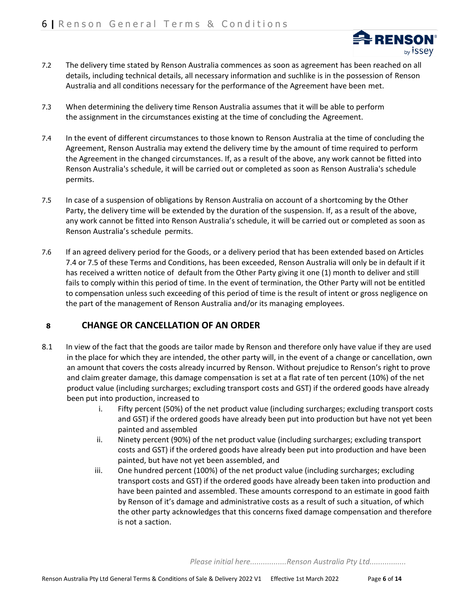

- 7.2 The delivery time stated by Renson Australia commences as soon as agreement has been reached on all details, including technical details, all necessary information and suchlike is in the possession of Renson Australia and all conditions necessary for the performance of the Agreement have been met.
- 7.3 When determining the delivery time Renson Australia assumes that it will be able to perform the assignment in the circumstances existing at the time of concluding the Agreement.
- 7.4 In the event of different circumstances to those known to Renson Australia at the time of concluding the Agreement, Renson Australia may extend the delivery time by the amount of time required to perform the Agreement in the changed circumstances. If, as a result of the above, any work cannot be fitted into Renson Australia's schedule, it will be carried out or completed as soon as Renson Australia's schedule permits.
- 7.5 In case of a suspension of obligations by Renson Australia on account of a shortcoming by the Other Party, the delivery time will be extended by the duration of the suspension. If, as a result of the above, any work cannot be fitted into Renson Australia's schedule, it will be carried out or completed as soon as Renson Australia's schedule permits.
- 7.6 If an agreed delivery period for the Goods, or a delivery period that has been extended based on Articles 7.4 or 7.5 of these Terms and Conditions, has been exceeded, Renson Australia will only be in default if it has received a written notice of default from the Other Party giving it one (1) month to deliver and still fails to comply within this period of time. In the event of termination, the Other Party will not be entitled to compensation unless such exceeding of this period of time is the result of intent or gross negligence on the part of the management of Renson Australia and/or its managing employees.

# **<sup>8</sup> CHANGE OR CANCELLATION OF AN ORDER**

- 8.1 In view of the fact that the goods are tailor made by Renson and therefore only have value if they are used in the place for which they are intended, the other party will, in the event of a change or cancellation, own an amount that covers the costs already incurred by Renson. Without prejudice to Renson's right to prove and claim greater damage, this damage compensation is set at a flat rate of ten percent (10%) of the net product value (including surcharges; excluding transport costs and GST) if the ordered goods have already been put into production, increased to
	- i. Fifty percent (50%) of the net product value (including surcharges; excluding transport costs and GST) if the ordered goods have already been put into production but have not yet been painted and assembled
	- ii. Ninety percent (90%) of the net product value (including surcharges; excluding transport costs and GST) if the ordered goods have already been put into production and have been painted, but have not yet been assembled, and
	- iii. One hundred percent (100%) of the net product value (including surcharges; excluding transport costs and GST) if the ordered goods have already been taken into production and have been painted and assembled. These amounts correspond to an estimate in good faith by Renson of it's damage and administrative costs as a result of such a situation, of which the other party acknowledges that this concerns fixed damage compensation and therefore is not a saction.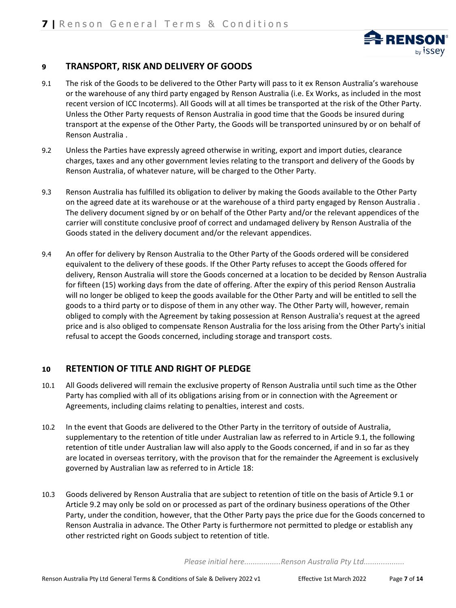

# **<sup>9</sup> TRANSPORT, RISK AND DELIVERY OF GOODS**

- 9.1 The risk of the Goods to be delivered to the Other Party will pass to it ex Renson Australia's warehouse or the warehouse of any third party engaged by Renson Australia (i.e. Ex Works, as included in the most recent version of ICC Incoterms). All Goods will at all times be transported at the risk of the Other Party. Unless the Other Party requests of Renson Australia in good time that the Goods be insured during transport at the expense of the Other Party, the Goods will be transported uninsured by or on behalf of Renson Australia .
- 9.2 Unless the Parties have expressly agreed otherwise in writing, export and import duties, clearance charges, taxes and any other government levies relating to the transport and delivery of the Goods by Renson Australia, of whatever nature, will be charged to the Other Party.
- 9.3 Renson Australia has fulfilled its obligation to deliver by making the Goods available to the Other Party on the agreed date at its warehouse or at the warehouse of a third party engaged by Renson Australia . The delivery document signed by or on behalf of the Other Party and/or the relevant appendices of the carrier will constitute conclusive proof of correct and undamaged delivery by Renson Australia of the Goods stated in the delivery document and/or the relevant appendices.
- 9.4 An offer for delivery by Renson Australia to the Other Party of the Goods ordered will be considered equivalent to the delivery of these goods. If the Other Party refuses to accept the Goods offered for delivery, Renson Australia will store the Goods concerned at a location to be decided by Renson Australia for fifteen (15) working days from the date of offering. After the expiry of this period Renson Australia will no longer be obliged to keep the goods available for the Other Party and will be entitled to sell the goods to a third party or to dispose of them in any other way. The Other Party will, however, remain obliged to comply with the Agreement by taking possession at Renson Australia's request at the agreed price and is also obliged to compensate Renson Australia for the loss arising from the Other Party's initial refusal to accept the Goods concerned, including storage and transport costs.

# **<sup>10</sup> RETENTION OF TITLE AND RIGHT OF PLEDGE**

- 10.1 All Goods delivered will remain the exclusive property of Renson Australia until such time as the Other Party has complied with all of its obligations arising from or in connection with the Agreement or Agreements, including claims relating to penalties, interest and costs.
- 10.2 In the event that Goods are delivered to the Other Party in the territory of outside of Australia, supplementary to the retention of title under Australian law as referred to in Article 9.1, the following retention of title under Australian law will also apply to the Goods concerned, if and in so far as they are located in overseas territory, with the provison that for the remainder the Agreement is exclusively governed by Australian law as referred to in Article 18:
- 10.3 Goods delivered by Renson Australia that are subject to retention of title on the basis of Article 9.1 or Article 9.2 may only be sold on or processed as part of the ordinary business operations of the Other Party, under the condition, however, that the Other Party pays the price due for the Goods concerned to Renson Australia in advance. The Other Party is furthermore not permitted to pledge or establish any other restricted right on Goods subject to retention of title.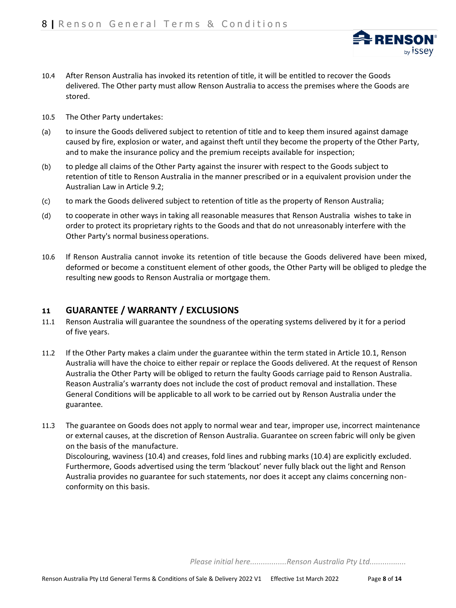

- 10.5 The Other Party undertakes:
- (a) to insure the Goods delivered subject to retention of title and to keep them insured against damage caused by fire, explosion or water, and against theft until they become the property of the Other Party, and to make the insurance policy and the premium receipts available for inspection;
- (b) to pledge all claims of the Other Party against the insurer with respect to the Goods subject to retention of title to Renson Australia in the manner prescribed or in a equivalent provision under the Australian Law in Article 9.2;
- (c) to mark the Goods delivered subject to retention of title as the property of Renson Australia;
- (d) to cooperate in other ways in taking all reasonable measures that Renson Australia wishes to take in order to protect its proprietary rights to the Goods and that do not unreasonably interfere with the Other Party's normal business operations.
- 10.6 If Renson Australia cannot invoke its retention of title because the Goods delivered have been mixed, deformed or become a constituent element of other goods, the Other Party will be obliged to pledge the resulting new goods to Renson Australia or mortgage them.

## **<sup>11</sup> GUARANTEE / WARRANTY / EXCLUSIONS**

- 11.1 Renson Australia will guarantee the soundness of the operating systems delivered by it for a period of five years.
- 11.2 If the Other Party makes a claim under the guarantee within the term stated in Article 10.1, Renson Australia will have the choice to either repair or replace the Goods delivered. At the request of Renson Australia the Other Party will be obliged to return the faulty Goods carriage paid to Renson Australia. Reason Australia's warranty does not include the cost of product removal and installation. These General Conditions will be applicable to all work to be carried out by Renson Australia under the guarantee.
- 11.3 The guarantee on Goods does not apply to normal wear and tear, improper use, incorrect maintenance or external causes, at the discretion of Renson Australia. Guarantee on screen fabric will only be given on the basis of the manufacture. Discolouring, waviness (10.4) and creases, fold lines and rubbing marks (10.4) are explicitly excluded.

Furthermore, Goods advertised using the term 'blackout' never fully black out the light and Renson Australia provides no guarantee for such statements, nor does it accept any claims concerning nonconformity on this basis.

*Please initial here.................Renson Australia Pty Ltd.................* 

**RENS** 

<sub>by</sub> issey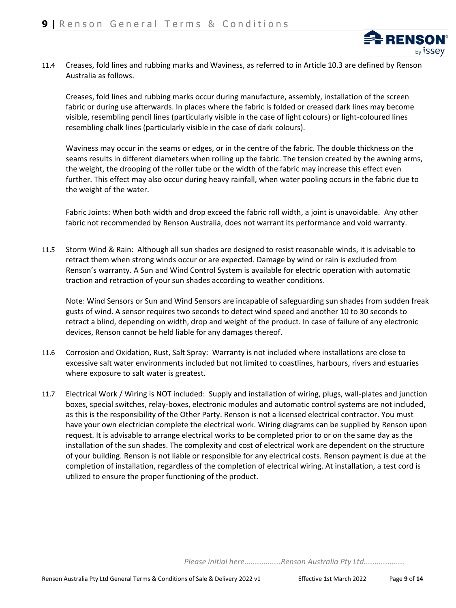

11.4 Creases, fold lines and rubbing marks and Waviness, as referred to in Article 10.3 are defined by Renson Australia as follows.

Creases, fold lines and rubbing marks occur during manufacture, assembly, installation of the screen fabric or during use afterwards. In places where the fabric is folded or creased dark lines may become visible, resembling pencil lines (particularly visible in the case of light colours) or light-coloured lines resembling chalk lines (particularly visible in the case of dark colours).

Waviness may occur in the seams or edges, or in the centre of the fabric. The double thickness on the seams results in different diameters when rolling up the fabric. The tension created by the awning arms, the weight, the drooping of the roller tube or the width of the fabric may increase this effect even further. This effect may also occur during heavy rainfall, when water pooling occurs in the fabric due to the weight of the water.

Fabric Joints: When both width and drop exceed the fabric roll width, a joint is unavoidable. Any other fabric not recommended by Renson Australia, does not warrant its performance and void warranty.

11.5 Storm Wind & Rain: Although all sun shades are designed to resist reasonable winds, it is advisable to retract them when strong winds occur or are expected. Damage by wind or rain is excluded from Renson's warranty. A Sun and Wind Control System is available for electric operation with automatic traction and retraction of your sun shades according to weather conditions.

Note: Wind Sensors or Sun and Wind Sensors are incapable of safeguarding sun shades from sudden freak gusts of wind. A sensor requires two seconds to detect wind speed and another 10 to 30 seconds to retract a blind, depending on width, drop and weight of the product. In case of failure of any electronic devices, Renson cannot be held liable for any damages thereof.

- 11.6 Corrosion and Oxidation, Rust, Salt Spray: Warranty is not included where installations are close to excessive salt water environments included but not limited to coastlines, harbours, rivers and estuaries where exposure to salt water is greatest.
- 11.7 Electrical Work / Wiring is NOT included: Supply and installation of wiring, plugs, wall-plates and junction boxes, special switches, relay-boxes, electronic modules and automatic control systems are not included, as this is the responsibility of the Other Party. Renson is not a licensed electrical contractor. You must have your own electrician complete the electrical work. Wiring diagrams can be supplied by Renson upon request. It is advisable to arrange electrical works to be completed prior to or on the same day as the installation of the sun shades. The complexity and cost of electrical work are dependent on the structure of your building. Renson is not liable or responsible for any electrical costs. Renson payment is due at the completion of installation, regardless of the completion of electrical wiring. At installation, a test cord is utilized to ensure the proper functioning of the product.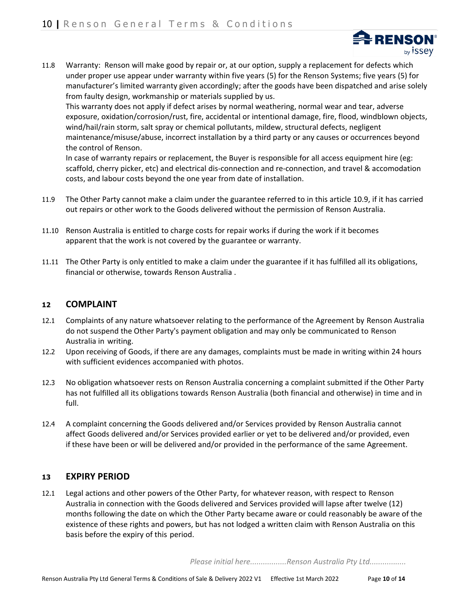

11.8 Warranty: Renson will make good by repair or, at our option, supply a replacement for defects which under proper use appear under warranty within five years (5) for the Renson Systems; five years (5) for manufacturer's limited warranty given accordingly; after the goods have been dispatched and arise solely from faulty design, workmanship or materials supplied by us.

This warranty does not apply if defect arises by normal weathering, normal wear and tear, adverse exposure, oxidation/corrosion/rust, fire, accidental or intentional damage, fire, flood, windblown objects, wind/hail/rain storm, salt spray or chemical pollutants, mildew, structural defects, negligent maintenance/misuse/abuse, incorrect installation by a third party or any causes or occurrences beyond the control of Renson.

In case of warranty repairs or replacement, the Buyer is responsible for all access equipment hire (eg: scaffold, cherry picker, etc) and electrical dis-connection and re-connection, and travel & accomodation costs, and labour costs beyond the one year from date of installation.

- 11.9 The Other Party cannot make a claim under the guarantee referred to in this article 10.9, if it has carried out repairs or other work to the Goods delivered without the permission of Renson Australia.
- 11.10 Renson Australia is entitled to charge costs for repair works if during the work if it becomes apparent that the work is not covered by the guarantee or warranty.
- 11.11 The Other Party is only entitled to make a claim under the guarantee if it has fulfilled all its obligations, financial or otherwise, towards Renson Australia .

## **<sup>12</sup> COMPLAINT**

- 12.1 Complaints of any nature whatsoever relating to the performance of the Agreement by Renson Australia do not suspend the Other Party's payment obligation and may only be communicated to Renson Australia in writing.
- 12.2 Upon receiving of Goods, if there are any damages, complaints must be made in writing within 24 hours with sufficient evidences accompanied with photos.
- 12.3 No obligation whatsoever rests on Renson Australia concerning a complaint submitted if the Other Party has not fulfilled all its obligations towards Renson Australia (both financial and otherwise) in time and in full.
- 12.4 A complaint concerning the Goods delivered and/or Services provided by Renson Australia cannot affect Goods delivered and/or Services provided earlier or yet to be delivered and/or provided, even if these have been or will be delivered and/or provided in the performance of the same Agreement.

## **<sup>13</sup> EXPIRY PERIOD**

12.1 Legal actions and other powers of the Other Party, for whatever reason, with respect to Renson Australia in connection with the Goods delivered and Services provided will lapse after twelve (12) months following the date on which the Other Party became aware or could reasonably be aware of the existence of these rights and powers, but has not lodged a written claim with Renson Australia on this basis before the expiry of this period.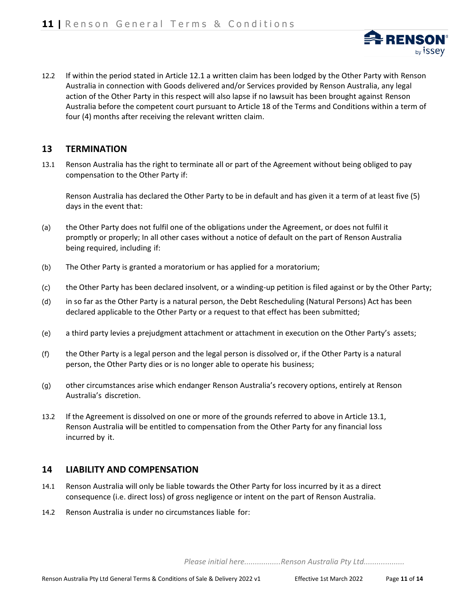

12.2 If within the period stated in Article 12.1 a written claim has been lodged by the Other Party with Renson Australia in connection with Goods delivered and/or Services provided by Renson Australia, any legal action of the Other Party in this respect will also lapse if no lawsuit has been brought against Renson Australia before the competent court pursuant to Article 18 of the Terms and Conditions within a term of four (4) months after receiving the relevant written claim.

## **13 TERMINATION**

13.1 Renson Australia has the right to terminate all or part of the Agreement without being obliged to pay compensation to the Other Party if:

Renson Australia has declared the Other Party to be in default and has given it a term of at least five (5) days in the event that:

- (a) the Other Party does not fulfil one of the obligations under the Agreement, or does not fulfil it promptly or properly; In all other cases without a notice of default on the part of Renson Australia being required, including if:
- (b) The Other Party is granted a moratorium or has applied for a moratorium;
- (c) the Other Party has been declared insolvent, or a winding-up petition is filed against or by the Other Party;
- (d) in so far as the Other Party is a natural person, the Debt Rescheduling (Natural Persons) Act has been declared applicable to the Other Party or a request to that effect has been submitted;
- (e) a third party levies a prejudgment attachment or attachment in execution on the Other Party's assets;
- (f) the Other Party is a legal person and the legal person is dissolved or, if the Other Party is a natural person, the Other Party dies or is no longer able to operate his business;
- (g) other circumstances arise which endanger Renson Australia's recovery options, entirely at Renson Australia's discretion.
- 13.2 If the Agreement is dissolved on one or more of the grounds referred to above in Article 13.1, Renson Australia will be entitled to compensation from the Other Party for any financial loss incurred by it.

## **14 LIABILITY AND COMPENSATION**

- 14.1 Renson Australia will only be liable towards the Other Party for loss incurred by it as a direct consequence (i.e. direct loss) of gross negligence or intent on the part of Renson Australia.
- 14.2 Renson Australia is under no circumstances liable for: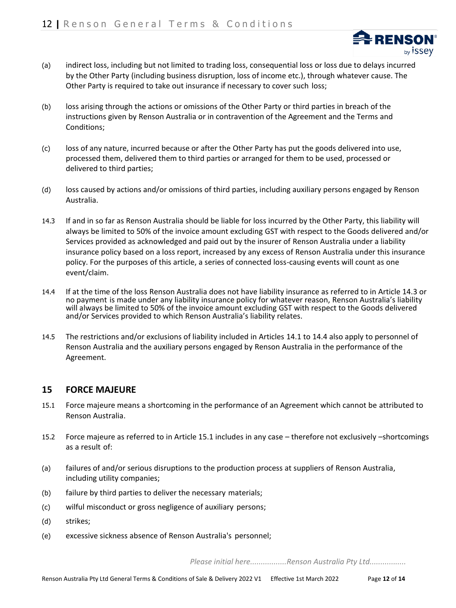

- (a) indirect loss, including but not limited to trading loss, consequential loss or loss due to delays incurred by the Other Party (including business disruption, loss of income etc.), through whatever cause. The Other Party is required to take out insurance if necessary to cover such loss;
- (b) loss arising through the actions or omissions of the Other Party or third parties in breach of the instructions given by Renson Australia or in contravention of the Agreement and the Terms and Conditions;
- (c) loss of any nature, incurred because or after the Other Party has put the goods delivered into use, processed them, delivered them to third parties or arranged for them to be used, processed or delivered to third parties;
- (d) loss caused by actions and/or omissions of third parties, including auxiliary persons engaged by Renson Australia.
- 14.3 If and in so far as Renson Australia should be liable for loss incurred by the Other Party, this liability will always be limited to 50% of the invoice amount excluding GST with respect to the Goods delivered and/or Services provided as acknowledged and paid out by the insurer of Renson Australia under a liability insurance policy based on a loss report, increased by any excess of Renson Australia under this insurance policy. For the purposes of this article, a series of connected loss-causing events will count as one event/claim.
- 14.4 If at the time of the loss Renson Australia does not have liability insurance as referred to in Article 14.3 or no payment is made under any liability insurance policy for whatever reason, Renson Australia's liability will always be limited to 50% of the invoice amount excluding GST with respect to the Goods delivered and/or Services provided to which Renson Australia's liability relates.
- 14.5 The restrictions and/or exclusions of liability included in Articles 14.1 to 14.4 also apply to personnel of Renson Australia and the auxiliary persons engaged by Renson Australia in the performance of the Agreement.

## **15 FORCE MAJEURE**

- 15.1 Force majeure means a shortcoming in the performance of an Agreement which cannot be attributed to Renson Australia.
- 15.2 Force majeure as referred to in Article 15.1 includes in any case therefore not exclusively –shortcomings as a result of:
- (a) failures of and/or serious disruptions to the production process at suppliers of Renson Australia, including utility companies;
- (b) failure by third parties to deliver the necessary materials;
- (c) wilful misconduct or gross negligence of auxiliary persons;
- (d) strikes;
- (e) excessive sickness absence of Renson Australia's personnel;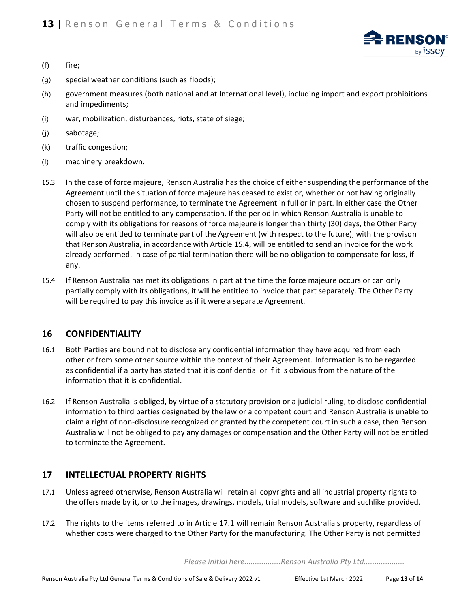**RENS** <sub>by</sub> issey

- (f) fire;
- (g) special weather conditions (such as floods);
- (h) government measures (both national and at International level), including import and export prohibitions and impediments;
- (i) war, mobilization, disturbances, riots, state of siege;
- (j) sabotage;
- (k) traffic congestion;
- (l) machinery breakdown.
- 15.3 In the case of force majeure, Renson Australia has the choice of either suspending the performance of the Agreement until the situation of force majeure has ceased to exist or, whether or not having originally chosen to suspend performance, to terminate the Agreement in full or in part. In either case the Other Party will not be entitled to any compensation. If the period in which Renson Australia is unable to comply with its obligations for reasons of force majeure is longer than thirty (30) days, the Other Party will also be entitled to terminate part of the Agreement (with respect to the future), with the provison that Renson Australia, in accordance with Article 15.4, will be entitled to send an invoice for the work already performed. In case of partial termination there will be no obligation to compensate for loss, if any.
- 15.4 If Renson Australia has met its obligations in part at the time the force majeure occurs or can only partially comply with its obligations, it will be entitled to invoice that part separately. The Other Party will be required to pay this invoice as if it were a separate Agreement.

# **16 CONFIDENTIALITY**

- 16.1 Both Parties are bound not to disclose any confidential information they have acquired from each other or from some other source within the context of their Agreement. Information is to be regarded as confidential if a party has stated that it is confidential or if it is obvious from the nature of the information that it is confidential.
- 16.2 If Renson Australia is obliged, by virtue of a statutory provision or a judicial ruling, to disclose confidential information to third parties designated by the law or a competent court and Renson Australia is unable to claim a right of non-disclosure recognized or granted by the competent court in such a case, then Renson Australia will not be obliged to pay any damages or compensation and the Other Party will not be entitled to terminate the Agreement.

# **17 INTELLECTUAL PROPERTY RIGHTS**

- 17.1 Unless agreed otherwise, Renson Australia will retain all copyrights and all industrial property rights to the offers made by it, or to the images, drawings, models, trial models, software and suchlike provided.
- 17.2 The rights to the items referred to in Article 17.1 will remain Renson Australia's property, regardless of whether costs were charged to the Other Party for the manufacturing. The Other Party is not permitted